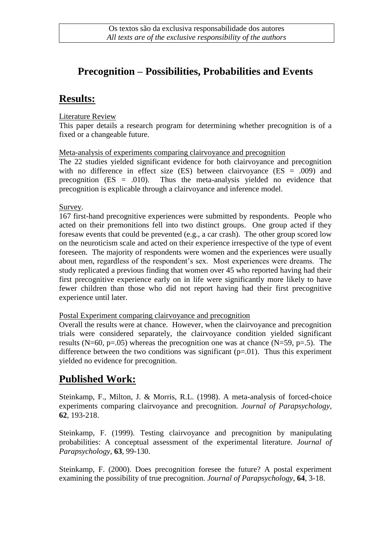## **Precognition – Possibilities, Probabilities and Events**

## **Results:**

Literature Review

This paper details a research program for determining whether precognition is of a fixed or a changeable future.

Meta-analysis of experiments comparing clairvoyance and precognition

The 22 studies yielded significant evidence for both clairvoyance and precognition with no difference in effect size  $(ES)$  between clairvoyance  $(ES = .009)$  and precognition  $(ES = .010)$ . Thus the meta-analysis yielded no evidence that precognition is explicable through a clairvoyance and inference model.

Survey.

167 first-hand precognitive experiences were submitted by respondents. People who acted on their premonitions fell into two distinct groups. One group acted if they foresaw events that could be prevented (e.g., a car crash). The other group scored low on the neuroticism scale and acted on their experience irrespective of the type of event foreseen. The majority of respondents were women and the experiences were usually about men, regardless of the respondent's sex. Most experiences were dreams. The study replicated a previous finding that women over 45 who reported having had their first precognitive experience early on in life were significantly more likely to have fewer children than those who did not report having had their first precognitive experience until later.

Postal Experiment comparing clairvoyance and precognition

Overall the results were at chance. However, when the clairvoyance and precognition trials were considered separately, the clairvoyance condition yielded significant results (N=60, p=.05) whereas the precognition one was at chance (N=59, p=.5). The difference between the two conditions was significant  $(p=0.01)$ . Thus this experiment yielded no evidence for precognition.

## **Published Work:**

Steinkamp, F., Milton, J. & Morris, R.L. (1998). A meta-analysis of forced-choice experiments comparing clairvoyance and precognition. *Journal of Parapsychology,*  **62**, 193-218.

Steinkamp, F. (1999). Testing clairvoyance and precognition by manipulating probabilities: A conceptual assessment of the experimental literature. *Journal of Parapsychology*, **63**, 99-130.

Steinkamp, F. (2000). Does precognition foresee the future? A postal experiment examining the possibility of true precognition. *Journal of Parapsychology*, **64**, 3-18.